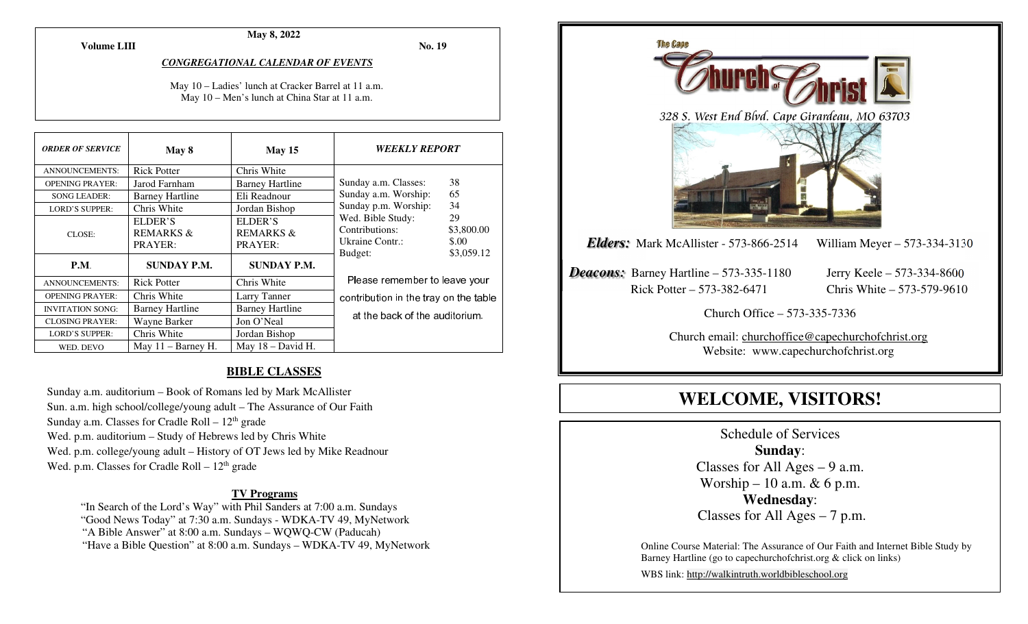**Volume LIII**

#### **May 8, 2022**

**No. 19** 

#### *CONGREGATIONAL CALENDAR OF EVENTS*

May 10 – Ladies' lunch at Cracker Barrel at 11 a.m.May 10 – Men's lunch at China Star at 11 a.m.

| <b>ORDER OF SERVICE</b> | May 8                                      | May 15                                     | <b>WEEKLY REPORT</b>                                              |                                         |
|-------------------------|--------------------------------------------|--------------------------------------------|-------------------------------------------------------------------|-----------------------------------------|
| <b>ANNOUNCEMENTS:</b>   | <b>Rick Potter</b>                         | Chris White                                |                                                                   |                                         |
| <b>OPENING PRAYER:</b>  | Jarod Farnham                              | <b>Barney Hartline</b>                     | Sunday a.m. Classes:                                              | 38                                      |
| <b>SONG LEADER:</b>     | <b>Barney Hartline</b>                     | Eli Readnour                               | Sunday a.m. Worship:                                              | 65                                      |
| <b>LORD'S SUPPER:</b>   | Chris White                                | Jordan Bishop                              | Sunday p.m. Worship:                                              | 34                                      |
| CLOSE:                  | ELDER'S<br><b>REMARKS &amp;</b><br>PRAYER: | ELDER'S<br><b>REMARKS &amp;</b><br>PRAYER: | Wed. Bible Study:<br>Contributions:<br>Ukraine Contr.:<br>Budget: | 29<br>\$3,800.00<br>\$.00<br>\$3,059.12 |
| <b>P.M.</b>             | <b>SUNDAY P.M.</b>                         | <b>SUNDAY P.M.</b>                         |                                                                   |                                         |
| <b>ANNOUNCEMENTS:</b>   | <b>Rick Potter</b>                         | Chris White                                | Please remember to leave your                                     |                                         |
| <b>OPENING PRAYER:</b>  | Chris White                                | Larry Tanner                               | contribution in the tray on the table                             |                                         |
| <b>INVITATION SONG:</b> | <b>Barney Hartline</b>                     | <b>Barney Hartline</b>                     |                                                                   |                                         |
| <b>CLOSING PRAYER:</b>  | Wayne Barker                               | Jon O'Neal                                 | at the back of the auditorium.                                    |                                         |
| <b>LORD'S SUPPER:</b>   | Chris White                                | Jordan Bishop                              |                                                                   |                                         |
| WED. DEVO               | May $11 -$ Barney H.                       | May $18$ – David H.                        |                                                                   |                                         |

#### **BIBLE CLASSES**

Sunday a.m. auditorium – Book of Romans led by Mark McAllister Sun. a.m. high school/college/young adult – The Assurance of Our Faith Sunday a.m. Classes for Cradle Roll  $-12<sup>th</sup>$  grade Wed. p.m. auditorium – Study of Hebrews led by Chris White Wed. p.m. college/young adult – History of OT Jews led by Mike Readnour Wed. p.m. Classes for Cradle Roll  $-12<sup>th</sup>$  grade

#### **TV Programs**

 "In Search of the Lord's Way" with Phil Sanders at 7:00 a.m. Sundays "Good News Today" at 7:30 a.m. Sundays - WDKA-TV 49, MyNetwork "A Bible Answer" at 8:00 a.m. Sundays – WQWQ-CW (Paducah) "Have a Bible Question" at 8:00 a.m. Sundays – WDKA-TV 49, MyNetwork



# **WELCOME, VISITORS!**

Schedule of Services **Sunday**: Classes for All Ages  $-9$  a.m. Worship – 10 a.m. & 6 p.m. **Wednesday**: Classes for All Ages – 7 p.m.

Online Course Material: The Assurance of Our Faith and Internet Bible Study by Barney Hartline (go to capechurchofchrist.org & click on links)

WBS link: http://walkintruth.worldbibleschool.org